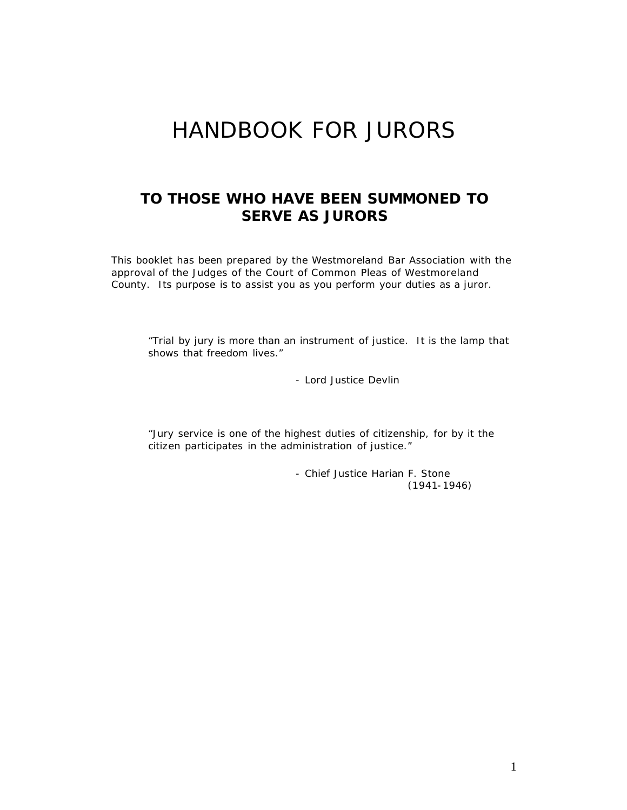# HANDBOOK FOR JURORS

## *TO THOSE WHO HAVE BEEN SUMMONED TO SERVE AS JURORS*

This booklet has been prepared by the Westmoreland Bar Association with the approval of the Judges of the Court of Common Pleas of Westmoreland County. Its purpose is to assist you as you perform your duties as a juror.

"Trial by jury is more than an instrument of justice. It is the lamp that shows that freedom lives."

- Lord Justice Devlin

"Jury service is one of the highest duties of citizenship, for by it the citizen participates in the administration of justice."

> - Chief Justice Harian F. Stone (1941-1946)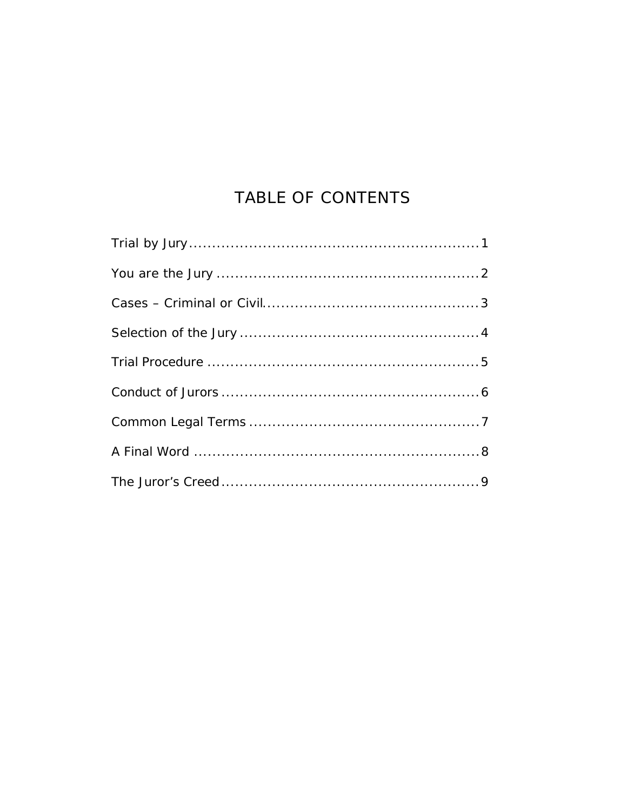## TABLE OF CONTENTS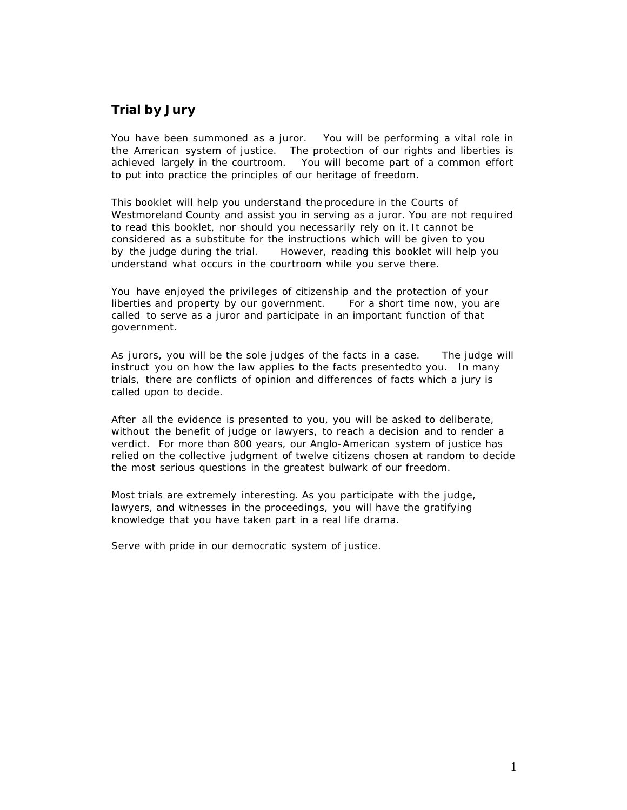## **Trial by Jury**

You have been summoned as a juror. You will be performing a vital role in the American system of justice. The protection of our rights and liberties is achieved largely in the courtroom. You will become part of a common effort to put into practice the principles of our heritage of freedom.

This booklet will help you understand the procedure in the Courts of Westmoreland County and assist you in serving as a juror. You are not required to read this booklet, nor should you necessarily rely on it. It cannot be considered as a substitute for the instructions which will be given to you by the judge during the trial. However, reading this booklet will help you understand what occurs in the courtroom while you serve there.

You have enjoyed the privileges of citizenship and the protection of your liberties and property by our government. For a short time now, you are called to serve as a juror and participate in an important function of that government.

As jurors, you will be the sole judges of the facts in a case. The judge will instruct you on how the law applies to the facts presented to you. In many trials, there are conflicts of opinion and differences of facts which a jury is called upon to decide.

After all the evidence is presented to you, you will be asked to deliberate, without the benefit of judge or lawyers, to reach a decision and to render a verdict. For more than 800 years, our Anglo-American system of justice has relied on the collective judgment of twelve citizens chosen at random to decide the most serious questions in the greatest bulwark of our freedom.

Most trials are extremely interesting. As you participate with the judge, lawyers, and witnesses in the proceedings, you will have the gratifying knowledge that you have taken part in a real life drama.

Serve with pride in our democratic system of justice.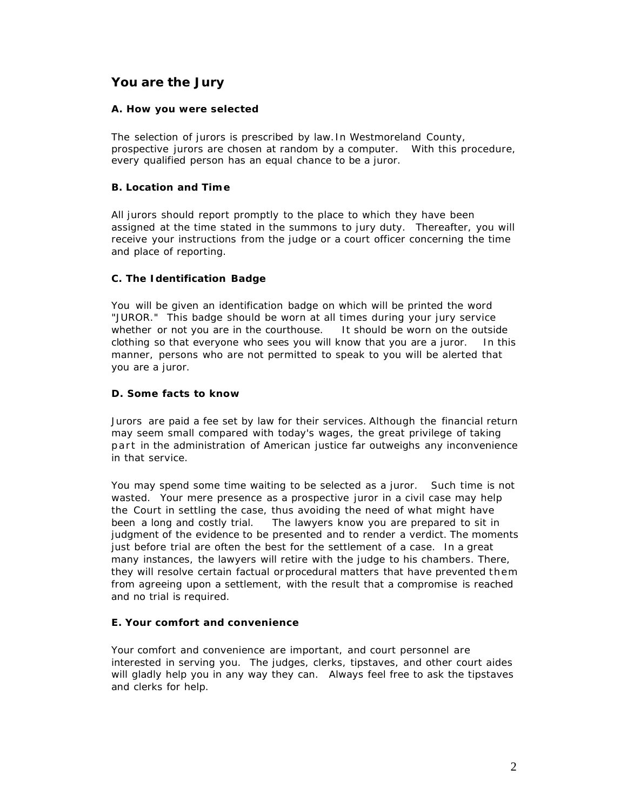## **You are the Jury**

#### **A. How you were selected**

The selection of jurors is prescribed by law. In Westmoreland County, prospective jurors are chosen at random by a computer. With this procedure, every qualified person has an equal chance to be a juror.

#### **B. Location and Tim e**

All jurors should report promptly to the place to which they have been assigned at the time stated in the summons to jury duty. Thereafter, you will receive your instructions from the judge or a court officer concerning the time and place of reporting.

### **C. The Identification Badge**

You will be given an identification badge on which will be printed the word "JUROR." This badge should be worn at all times during your jury service whether or not you are in the courthouse. It should be worn on the outside clothing so that everyone who sees you will know that you are a juror. In this manner, persons who are not permitted to speak to you will be alerted that you are a juror.

#### **D. Some facts to know**

Jurors are paid a fee set by law for their services. Although the financial return may seem small compared with today's wages, the great privilege of taking part in the administration of American justice far outweighs any inconvenience in that service.

You may spend some time waiting to be selected as a juror. Such time is not wasted. Your mere presence as a prospective juror in a civil case may help the Court in settling the case, thus avoiding the need of what might have been a long and costly trial. The lawyers know you are prepared to sit in judgment of the evidence to be presented and to render a verdict. The moments just before trial are often the best for the settlement of a case. In a great many instances, the lawyers will retire with the judge to his chambers. There, they will resolve certain factual or procedural matters that have prevented them from agreeing upon a settlement, with the result that a compromise is reached and no trial is required.

#### **E. Your comfort and convenience**

Your comfort and convenience are important, and court personnel are interested in serving you. The judges, clerks, tipstaves, and other court aides will gladly help you in any way they can. Always feel free to ask the tipstaves and clerks for help.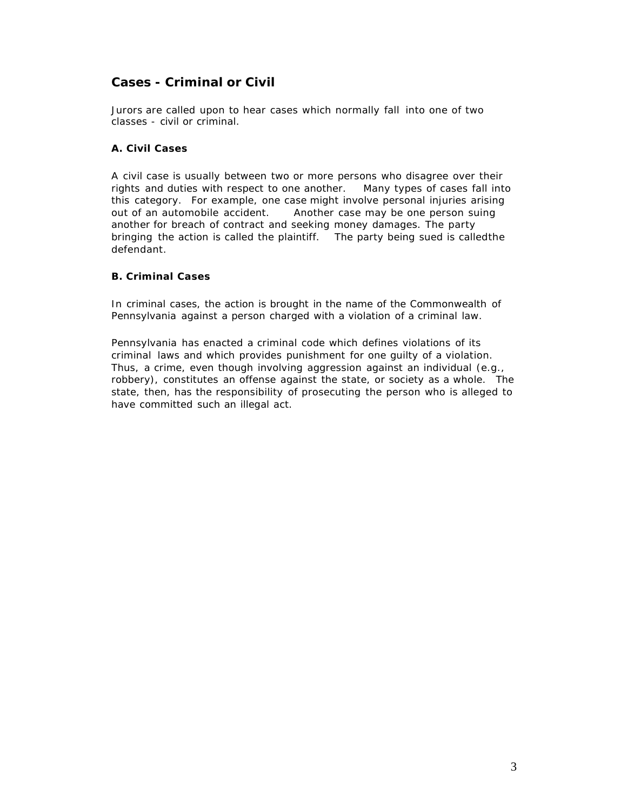## **Cases - Criminal or Civil**

Jurors are called upon to hear cases which normally fall into one of two classes - civil or criminal.

#### **A. Civil Cases**

A civil case is usually between two or more persons who disagree over their rights and duties with respect to one another. Many types of cases fall into this category. For example, one case might involve personal injuries arising out of an automobile accident. Another case may be one person suing another for breach of contract and seeking money damages. The party bringing the action is called the plaintiff. The party being sued is called the defendant.

#### **B. Criminal Cases**

In criminal cases, the action is brought in the name of the Commonwealth of Pennsylvania against a person charged with a violation of a criminal law.

Pennsylvania has enacted a criminal code which defines violations of its criminal laws and which provides punishment for one guilty of a violation. Thus, a crime, even though involving aggression against an individual (e.g., robbery), constitutes an offense against the state, or society as a whole. The state, then, has the responsibility of prosecuting the person who is alleged to have committed such an illegal act.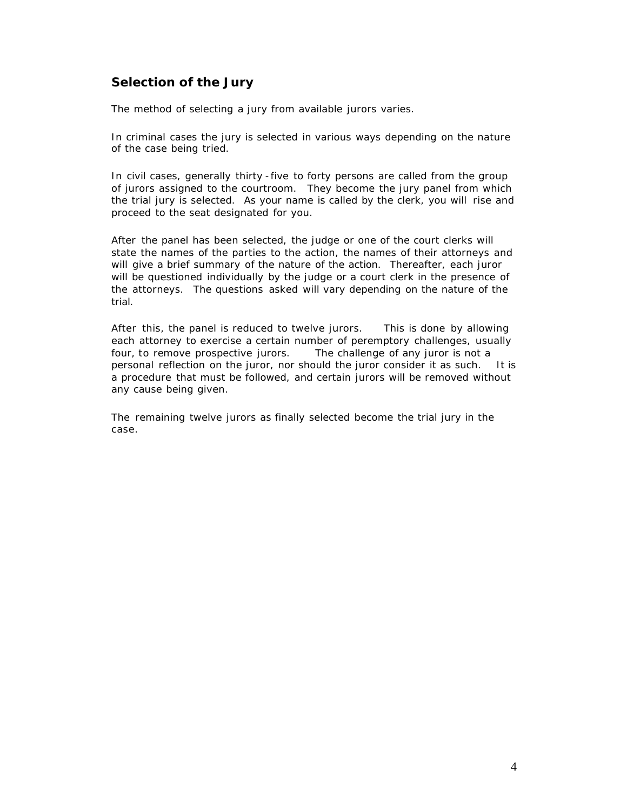## **Selection of the Jury**

The method of selecting a jury from available jurors varies.

In criminal cases the jury is selected in various ways depending on the nature of the case being tried.

In civil cases, generally thirty -five to forty persons are called from the group of jurors assigned to the courtroom. They become the jury panel from which the trial jury is selected. As your name is called by the clerk, you will rise and proceed to the seat designated for you.

After the panel has been selected, the judge or one of the court clerks will state the names of the parties to the action, the names of their attorneys and will give a brief summary of the nature of the action. Thereafter, each juror will be questioned individually by the judge or a court clerk in the presence of the attorneys. The questions asked will vary depending on the nature of the trial.

After this, the panel is reduced to twelve jurors. This is done by allowing each attorney to exercise a certain number of peremptory challenges, usually four, to remove prospective jurors. The challenge of any juror is not a personal reflection on the juror, nor should the juror consider it as such. It is a procedure that must be followed, and certain jurors will be removed without any cause being given.

The remaining twelve jurors as finally selected become the trial jury in the case.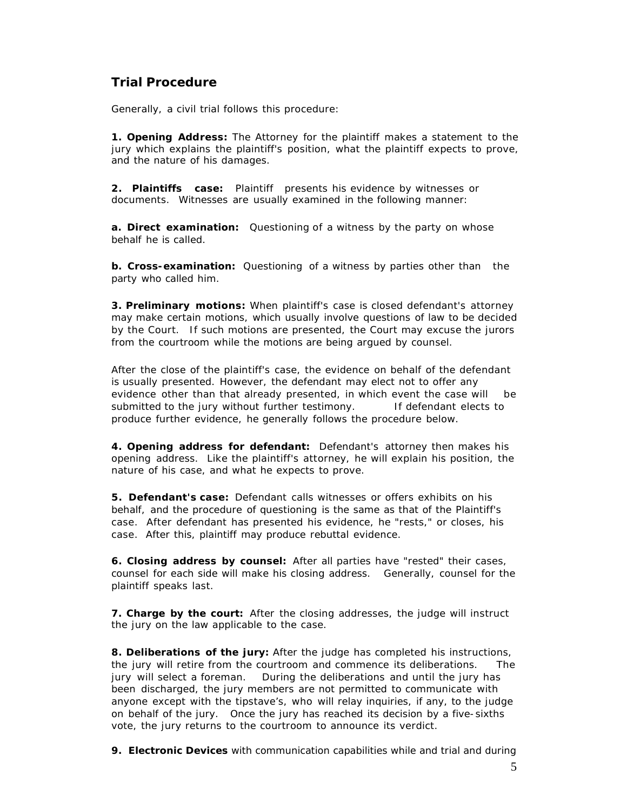## **Trial Procedure**

Generally, a civil trial follows this procedure:

**1. Opening Address:** The Attorney for the plaintiff makes a statement to the jury which explains the plaintiff's position, what the plaintiff expects to prove, and the nature of his damages.

**2. Plaintiffs case:** Plaintiff presents his evidence by witnesses or documents. Witnesses are usually examined in the following manner:

**a. Direct examination:** Questioning of a witness by the party on whose behalf he is called.

**b. Cross-examination:** Questioning of a witness by parties other than the party who called him.

**3. Preliminary motions:** When plaintiff's case is closed defendant's attorney may make certain motions, which usually involve questions of law to be decided by the Court. If such motions are presented, the Court may excuse the jurors from the courtroom while the motions are being argued by counsel.

After the close of the plaintiff's case, the evidence on behalf of the defendant is usually presented. However, the defendant may elect not to offer any evidence other than that already presented, in which event the case will be submitted to the jury without further testimony. If defendant elects to produce further evidence, he generally follows the procedure below.

**4. Opening address for defendant:** Defendant's attorney then makes his opening address. Like the plaintiff's attorney, he will explain his position, the nature of his case, and what he expects to prove.

**5. Defendant's case:** Defendant calls witnesses or offers exhibits on his behalf, and the procedure of questioning is the same as that of the Plaintiff's case. After defendant has presented his evidence, he "rests," or closes, his case. After this, plaintiff may produce rebuttal evidence.

**6. Closing address by counsel:** After all parties have "rested" their cases, counsel for each side will make his closing address. Generally, counsel for the plaintiff speaks last.

**7. Charge by the court:** After the closing addresses, the judge will instruct the jury on the law applicable to the case.

**8. Deliberations of the jury:** After the judge has completed his instructions, the jury will retire from the courtroom and commence its deliberations. The jury will select a foreman. During the deliberations and until the jury has been discharged, the jury members are not permitted to communicate with anyone except with the tipstave's, who will relay inquiries, if any, to the judge on behalf of the jury. Once the jury has reached its decision by a five-sixths vote, the jury returns to the courtroom to announce its verdict.

**9. Electronic Devices** with communication capabilities while and trial and during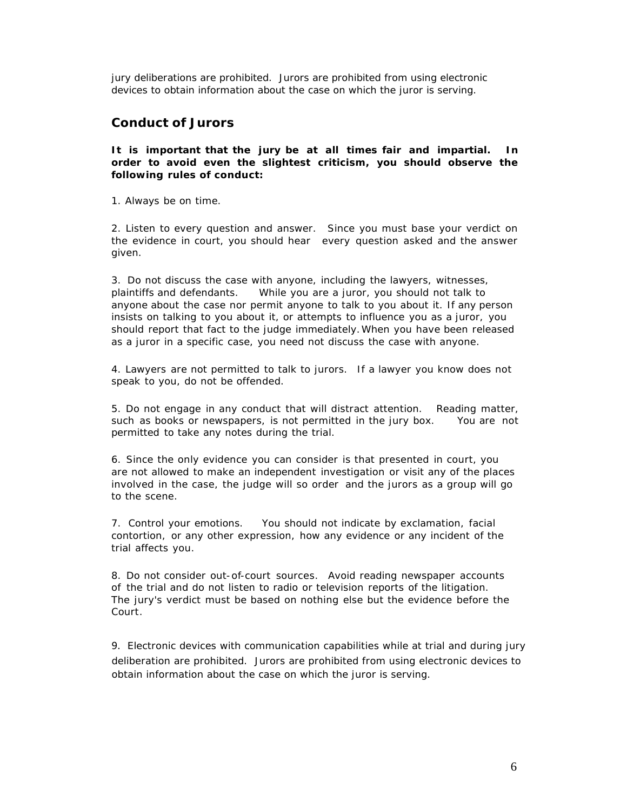jury deliberations are prohibited. Jurors are prohibited from using electronic devices to obtain information about the case on which the juror is serving.

### **Conduct of Jurors**

#### **It is important that the jury be at all times fair and impartial. In order to avoid even the slightest criticism, you should observe the following rules of conduct:**

1. Always be on time.

2. Listen to every question and answer. Since you must base your verdict on the evidence in court, you should hear every question asked and the answer given.

3. Do not discuss the case with anyone, including the lawyers, witnesses, plaintiffs and defendants. While you are a juror, you should not talk to anyone about the case nor permit anyone to talk to you about it. If any person insists on talking to you about it, or attempts to influence you as a juror, you should report that fact to the judge immediately. When you have been released as a juror in a specific case, you need not discuss the case with anyone.

4. Lawyers are not permitted to talk to jurors. If a lawyer you know does not speak to you, do not be offended.

5. Do not engage in any conduct that will distract attention. Reading matter, such as books or newspapers, is not permitted in the jury box. You are not permitted to take any notes during the trial.

6. Since the only evidence you can consider is that presented in court, you are not allowed to make an independent investigation or visit any of the places involved in the case, the judge will so order and the jurors as a group will go to the scene.

7. Control your emotions. You should not indicate by exclamation, facial contortion, or any other expression, how any evidence or any incident of the trial affects you.

8. Do not consider out-of-court sources. Avoid reading newspaper accounts of the trial and do not listen to radio or television reports of the litigation. The jury's verdict must be based on nothing else but the evidence before the Court.

9. Electronic devices with communication capabilities while at trial and during jury deliberation are prohibited. Jurors are prohibited from using electronic devices to obtain information about the case on which the juror is serving.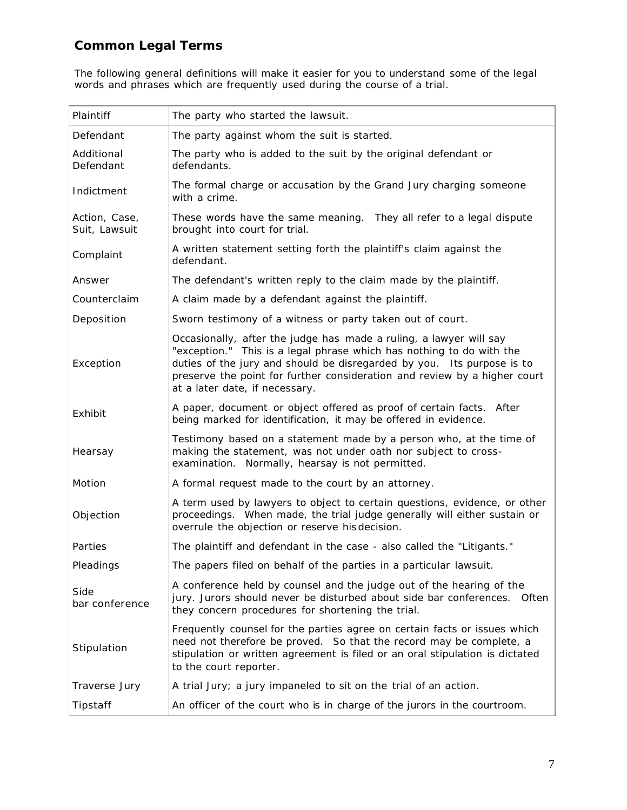## **Common Legal Terms**

The following general definitions will make it easier for you to understand some of the legal words and phrases which are frequently used during the course of a trial.

| Plaintiff                      | The party who started the lawsuit.                                                                                                                                                                                                                                                                                                  |
|--------------------------------|-------------------------------------------------------------------------------------------------------------------------------------------------------------------------------------------------------------------------------------------------------------------------------------------------------------------------------------|
| Defendant                      | The party against whom the suit is started.                                                                                                                                                                                                                                                                                         |
| Additional<br>Defendant        | The party who is added to the suit by the original defendant or<br>defendants.                                                                                                                                                                                                                                                      |
| Indictment                     | The formal charge or accusation by the Grand Jury charging someone<br>with a crime.                                                                                                                                                                                                                                                 |
| Action, Case,<br>Suit, Lawsuit | These words have the same meaning. They all refer to a legal dispute<br>brought into court for trial.                                                                                                                                                                                                                               |
| Complaint                      | A written statement setting forth the plaintiff's claim against the<br>defendant.                                                                                                                                                                                                                                                   |
| Answer                         | The defendant's written reply to the claim made by the plaintiff.                                                                                                                                                                                                                                                                   |
| Counterclaim                   | A claim made by a defendant against the plaintiff.                                                                                                                                                                                                                                                                                  |
| Deposition                     | Sworn testimony of a witness or party taken out of court.                                                                                                                                                                                                                                                                           |
| Exception                      | Occasionally, after the judge has made a ruling, a lawyer will say<br>"exception." This is a legal phrase which has nothing to do with the<br>duties of the jury and should be disregarded by you. Its purpose is to<br>preserve the point for further consideration and review by a higher court<br>at a later date, if necessary. |
| Exhibit                        | A paper, document or object offered as proof of certain facts. After<br>being marked for identification, it may be offered in evidence.                                                                                                                                                                                             |
| Hearsay                        | Testimony based on a statement made by a person who, at the time of<br>making the statement, was not under oath nor subject to cross-<br>examination. Normally, hearsay is not permitted.                                                                                                                                           |
| Motion                         | A formal request made to the court by an attorney.                                                                                                                                                                                                                                                                                  |
| Objection                      | A term used by lawyers to object to certain questions, evidence, or other<br>proceedings. When made, the trial judge generally will either sustain or<br>overrule the objection or reserve his decision.                                                                                                                            |
| Parties                        | The plaintiff and defendant in the case - also called the "Litigants."                                                                                                                                                                                                                                                              |
| Pleadings                      | The papers filed on behalf of the parties in a particular lawsuit.                                                                                                                                                                                                                                                                  |
| Side<br>bar conference         | A conference held by counsel and the judge out of the hearing of the<br>jury. Jurors should never be disturbed about side bar conferences. Often<br>they concern procedures for shortening the trial.                                                                                                                               |
| Stipulation                    | Frequently counsel for the parties agree on certain facts or issues which<br>need not therefore be proved. So that the record may be complete, a<br>stipulation or written agreement is filed or an oral stipulation is dictated<br>to the court reporter.                                                                          |
| Traverse Jury                  | A trial Jury; a jury impaneled to sit on the trial of an action.                                                                                                                                                                                                                                                                    |
| Tipstaff                       | An officer of the court who is in charge of the jurors in the courtroom.                                                                                                                                                                                                                                                            |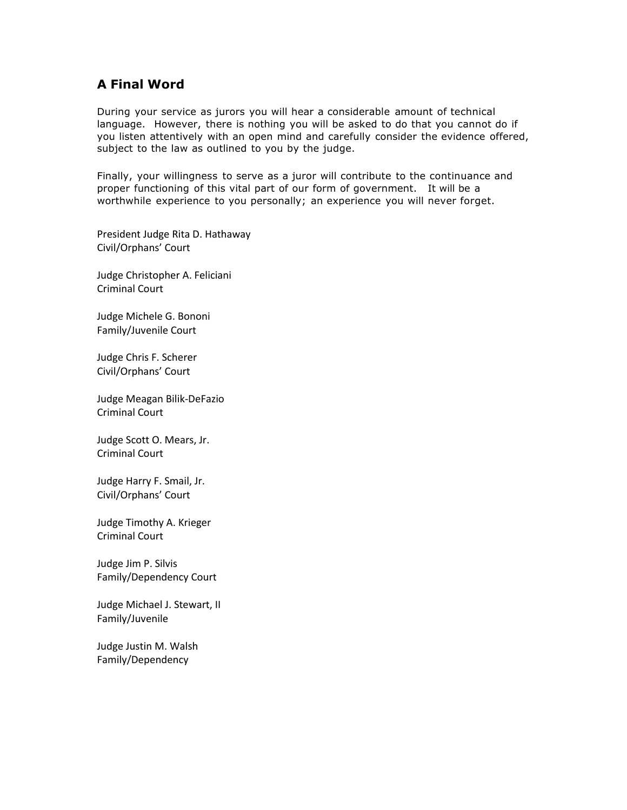## **A Final Word**

During your service as jurors you will hear a considerable amount of technical language. However, there is nothing you will be asked to do that you cannot do if you listen attentively with an open mind and carefully consider the evidence offered, subject to the law as outlined to you by the judge.

Finally, your willingness to serve as a juror will contribute to the continuance and proper functioning of this vital part of our form of government. It will be a worthwhile experience to you personally; an experience you will never forget.

President Judge Rita D. Hathaway Civil/Orphans' Court

Judge Christopher A. Feliciani Criminal Court

Judge Michele G. Bononi Family/Juvenile Court

Judge Chris F. Scherer Civil/Orphans' Court

Judge Meagan Bilik-DeFazio Criminal Court

Judge Scott O. Mears, Jr. Criminal Court

Judge Harry F. Smail, Jr. Civil/Orphans' Court

Judge Timothy A. Krieger Criminal Court

Judge Jim P. Silvis Family/Dependency Court

Judge Michael J. Stewart, II Family/Juvenile

Judge Justin M. Walsh Family/Dependency